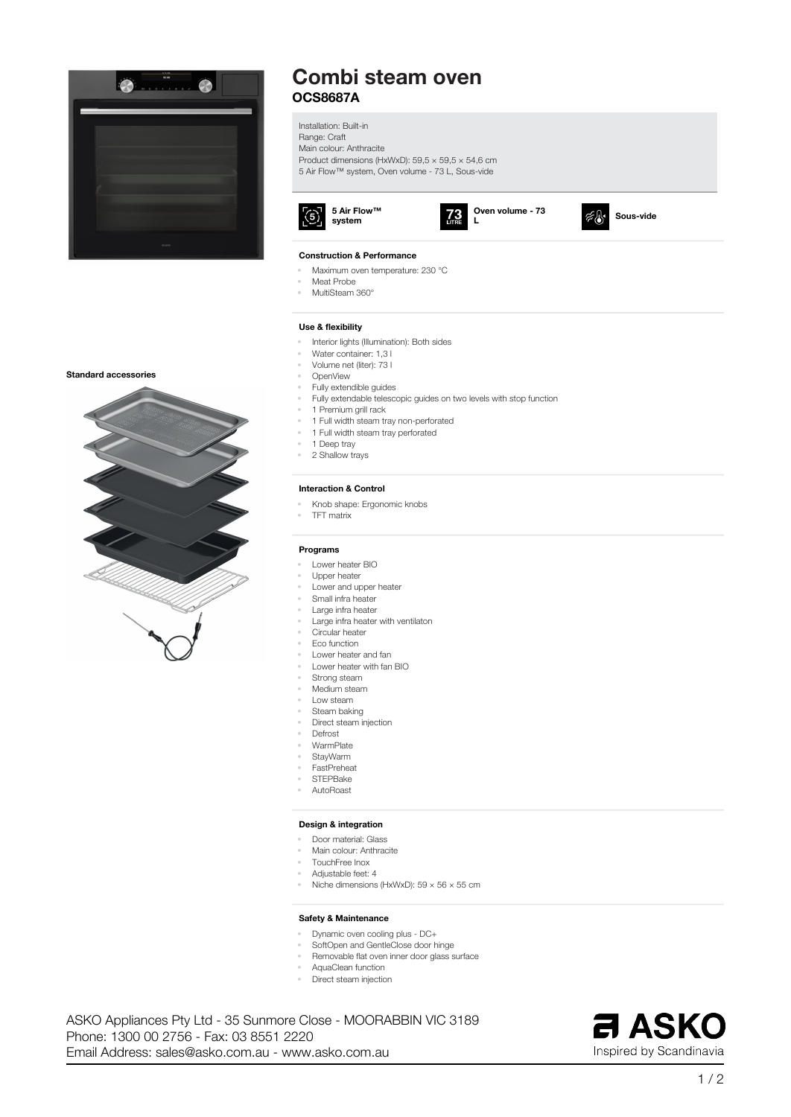

# **Combi steam oven OCS8687A**

**Installation: Built-in Range: Craft Main colour: Anthracite Product dimensions (HxWxD): 59,5 × 59,5 × 54,6 cm 5 Air Flow™ system, Oven volume - 73 L, Sous-vide**



#### **Oven volume - 73**  $73$ **L**



#### **Construction & Performance**

- **• Maximum oven temperature: 230 °C**
- **• Meat Probe**
- **• MultiSteam 360°**

#### **Use & flexibility**

- **• Interior lights (Illumination): Both sides**
- **• Water container: 1,3 l**
- **• Volume net (liter): 73 l**
- **• OpenView**
- **• Fully extendible guides**
- **• Fully extendable telescopic guides on two levels with stop function**
- **• 1 Premium grill rack**
- **• 1 Full width steam tray non-perforated**
- **• 1 Full width steam tray perforated**
- **• 1 Deep tray**
- **• 2 Shallow trays**

#### **Interaction & Control**

- **• Knob shape: Ergonomic knobs**
- **• TFT matrix**

#### **Programs**

- **• Lower heater BIO**
- **• Upper heater**
- **• Lower and upper heater**
- **• Small infra heater**
- **• Large infra heater**
- **• Large infra heater with ventilaton**
- **• Circular heater**
- **• Eco function**
- **• Lower heater and fan**
- **• Lower heater with fan BIO**
- **• Strong steam**
- **• Medium steam**
- **• Low steam • Steam baking**
- **• Direct steam injection**
- **• Defrost**
- **• WarmPlate**
- **• StayWarm**
- **• FastPreheat**
- **• STEPBake**
- **• AutoRoast**

#### **Design & integration**

- **• Door material: Glass**
- **• Main colour: Anthracite**
- **• TouchFree Inox**
- **• Adjustable feet: 4**
- **• Niche dimensions (HxWxD): 59 × 56 × 55 cm**

#### **Safety & Maintenance**

- **• Dynamic oven cooling plus - DC+**
- **• SoftOpen and GentleClose door hinge**
- **• Removable flat oven inner door glass surface**
- **• AquaClean function**
- **• Direct steam injection**

**Email Address: sales@asko.com.au - www.asko.com.au Phone: 1300 00 2756 - Fax: 03 8551 2220 ASKO Appliances Pty Ltd - 35 Sunmore Close - MOORABBIN VIC 3189**